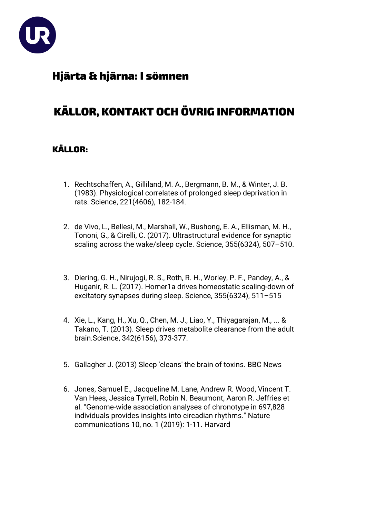

## Hjärta & hjärna: I sömnen

# KÄLLOR, KONTAKT OCH ÖVRIG INFORMATION

### KÄLLOR:

- 1. Rechtschaffen, A., Gilliland, M. A., Bergmann, B. M., & Winter, J. B. (1983). [Physiological correlates of prolonged sleep deprivation in](http://science.sciencemag.org/content/221/4606/182)  [rats.](http://science.sciencemag.org/content/221/4606/182) Science, 221(4606), 182-184.
- 2. de Vivo, L., Bellesi, M., Marshall, W., Bushong, E. A., Ellisman, M. H., Tononi, G., & Cirelli, C. (2017). [Ultrastructural evidence for synaptic](http://science.sciencemag.org/content/355/6324/507)  [scaling across the wake/sleep cycle.](http://science.sciencemag.org/content/355/6324/507) Science, 355(6324), 507–510.
- 3. Diering, G. H., Nirujogi, R. S., Roth, R. H., Worley, P. F., Pandey, A., & Huganir, R. L. (2017). [Homer1a drives homeostatic scaling-down of](http://science.sciencemag.org/content/355/6324/511)  [excitatory synapses during sleep.](http://science.sciencemag.org/content/355/6324/511) Science, 355(6324), 511–515
- 4. Xie, L., Kang, H., Xu, Q., Chen, M. J., Liao, Y., Thiyagarajan, M., ... & Takano, T. (2013). [Sleep drives metabolite clearance](http://science.sciencemag.org/content/342/6156/373.full) from the adult [brain.](http://science.sciencemag.org/content/342/6156/373.full)Science, 342(6156), 373-377.
- 5. Gallagher J. (2013) [Sleep 'cleans' the brain of toxins.](http://www.bbc.com/news/health-24567412) BBC News
- 6. Jones, Samuel E., Jacqueline M. Lane, Andrew R. Wood, Vincent T. Van Hees, Jessica Tyrrell, Robin N. Beaumont, Aaron R. Jeffries et al. "Genome-wide association analyses of chronotype in 697,828 individuals provides insights into circadian rhythms." Nature communications 10, no. 1 (2019): 1-11. Harvard